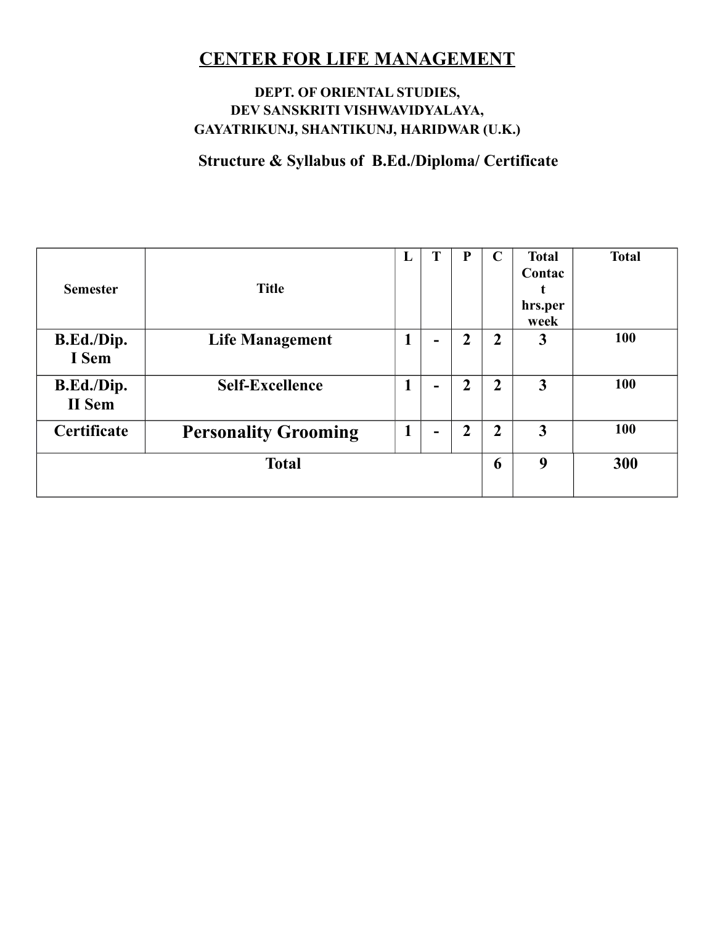#### **DEPT. OF ORIENTAL STUDIES, DEV SANSKRITI VISHWAVIDYALAYA, GAYATRIKUNJ, SHANTIKUNJ, HARIDWAR (U.K.)**

**Structure & Syllabus of B.Ed./Diploma/ Certificate**

| <b>Semester</b>      | <b>Title</b>                | L | T                        | P              | $\mathbf C$    | <b>Total</b><br>Contac<br>hrs.per<br>week | <b>Total</b> |
|----------------------|-----------------------------|---|--------------------------|----------------|----------------|-------------------------------------------|--------------|
| B.Ed./Dip.<br>I Sem  | <b>Life Management</b>      |   | $\overline{\phantom{0}}$ | 2              | $\overline{2}$ | 3                                         | 100          |
| B.Ed./Dip.<br>II Sem | <b>Self-Excellence</b>      | 1 | $\overline{\phantom{0}}$ | $\overline{2}$ | $\overline{2}$ | $\mathbf{3}$                              | 100          |
| Certificate          | <b>Personality Grooming</b> | 1 | $\blacksquare$           | 2              | 2              | $\mathbf{3}$                              | 100          |
| <b>Total</b>         |                             |   |                          | 6              | 9              | 300                                       |              |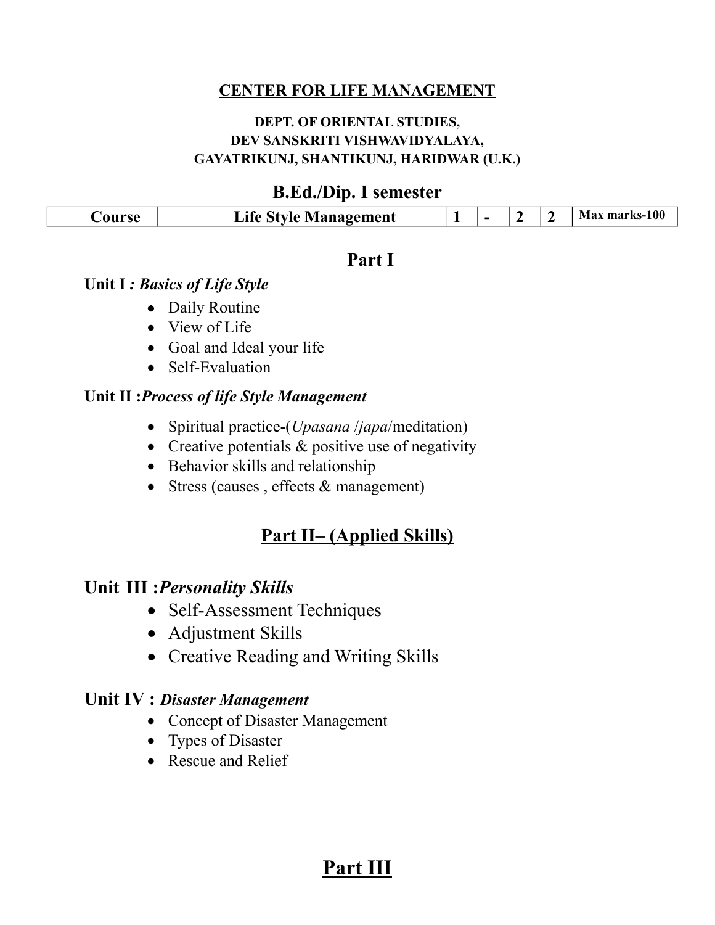#### **DEPT. OF ORIENTAL STUDIES, DEV SANSKRITI VISHWAVIDYALAYA, GAYATRIKUNJ, SHANTIKUNJ, HARIDWAR (U.K.)**

### **B.Ed./Dip. I semester**

| Life Style Management<br>Jourse | - |  |  |  | Max marks-100 |
|---------------------------------|---|--|--|--|---------------|
|---------------------------------|---|--|--|--|---------------|

#### **Part I**

#### **Unit I** *: Basics of Life Style*

- Daily Routine
- View of Life
- Goal and Ideal your life
- Self-Evaluation

#### **Unit II :***Process of life Style Management*

- Spiritual practice-(*Upasana* /*japa*/meditation)
- Creative potentials  $&$  positive use of negativity
- Behavior skills and relationship
- Stress (causes, effects & management)

## **Part II– (Applied Skills)**

### **Unit III :***Personality Skills*

- Self-Assessment Techniques
- Adjustment Skills
- Creative Reading and Writing Skills

## **Unit IV :** *Disaster Management*

- Concept of Disaster Management
- Types of Disaster
- Rescue and Relief

## **Part III**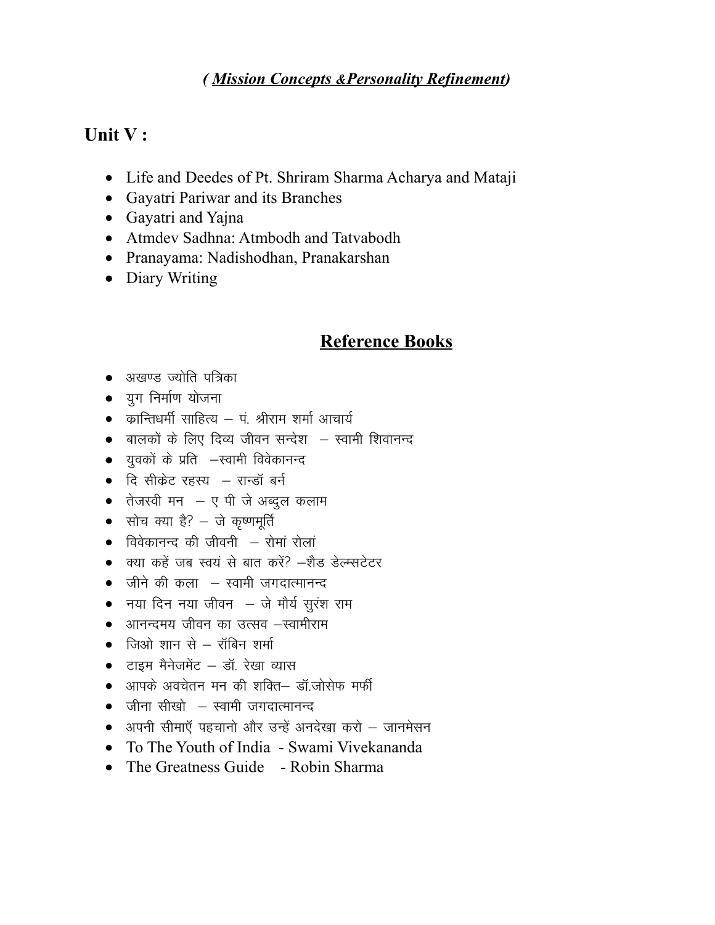### (Mission Concepts & Personality Refinement)

#### Unit V:

- Life and Deedes of Pt. Shriram Sharma Acharya and Mataji
- Gayatri Pariwar and its Branches
- Gayatri and Yajna
- Atmdev Sadhna: Atmbodh and Tatvabodh
- Pranayama: Nadishodhan, Pranakarshan
- Diary Writing

### **Reference Books**

- अखण्ड ज्योति पत्रिका
- युग निर्माण योजना
- $\bullet$  क्रान्तिधर्मी साहित्य पं. श्रीराम शर्मा आचार्य
- बालकों के लिए दिव्य जीवन सन्देश स्वामी शिवानन्द
- युवकों के प्रति –स्वामी विवेकानन्द
- दि सीकेट रहस्य रान्डॉ बर्न
- तेजस्वी मन $-$  ए पी जे अब्दुल कलाम
- सोच क्या है? जे कृष्णमूर्ति
- $\bullet$  विवेकानन्द की जीवनी  $-$  रोमां रोलां
- क्या कहें जब स्वयं से बात करें? –शैड डेल्म्सटेटर
- जीने की कला स्वामी जगदात्मानन्द
- नया दिन नया जीवन जे मौर्य सुरंश राम
- आनन्दमय जीवन का उत्सव –स्वामीराम
- $\bullet$  जिओ शान से रॉबिन शर्मा
- टाइम मैनेजमेंट डॉ. रेखा व्यास
- आपके अवचेतन मन की शक्ति— डॉ.जोसेफ मर्फी
- $\bullet$  जीना सीखो  $-$  स्वामी जगदात्मानन्द
- अपनी सीमाऍ पहचानो और उन्हें अनदेखा करो जानमेसन
- To The Youth of India Swami Vivekananda
- The Greatness Guide Robin Sharma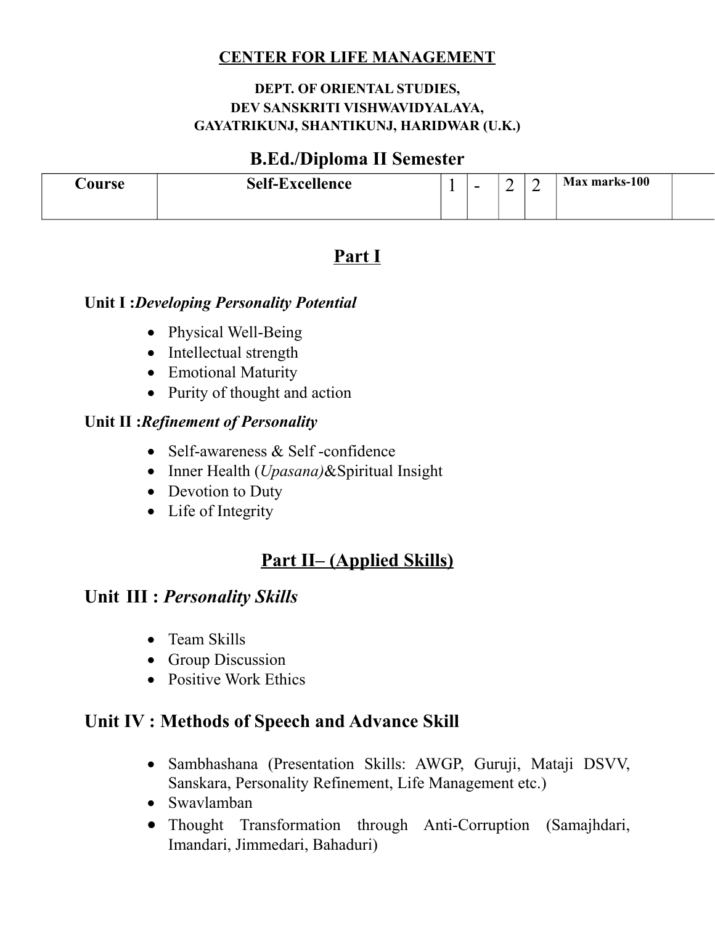#### **DEPT. OF ORIENTAL STUDIES, DEV SANSKRITI VISHWAVIDYALAYA, GAYATRIKUNJ, SHANTIKUNJ, HARIDWAR (U.K.)**

### **B.Ed./Diploma II Semester**

| <b>Course</b> | <b>Self-Excellence</b> | $\overline{\phantom{a}}$ | ∽ | - | Max marks-100 |  |
|---------------|------------------------|--------------------------|---|---|---------------|--|
|               |                        |                          |   |   |               |  |

## **Part I**

#### **Unit I :***Developing Personality Potential*

- Physical Well-Being
- Intellectual strength
- Emotional Maturity
- Purity of thought and action

#### **Unit II :***Refinement of Personality*

- Self-awareness & Self-confidence
- Inner Health (*Upasana)*&Spiritual Insight
- Devotion to Duty
- Life of Integrity

## **Part II– (Applied Skills)**

### **Unit III :** *Personality Skills*

- Team Skills
- Group Discussion
- Positive Work Ethics

## **Unit IV : Methods of Speech and Advance Skill**

- Sambhashana (Presentation Skills: AWGP, Guruji, Mataji DSVV, Sanskara, Personality Refinement, Life Management etc.)
- Swavlamban
- Thought Transformation through Anti-Corruption (Samajhdari, Imandari, Jimmedari, Bahaduri)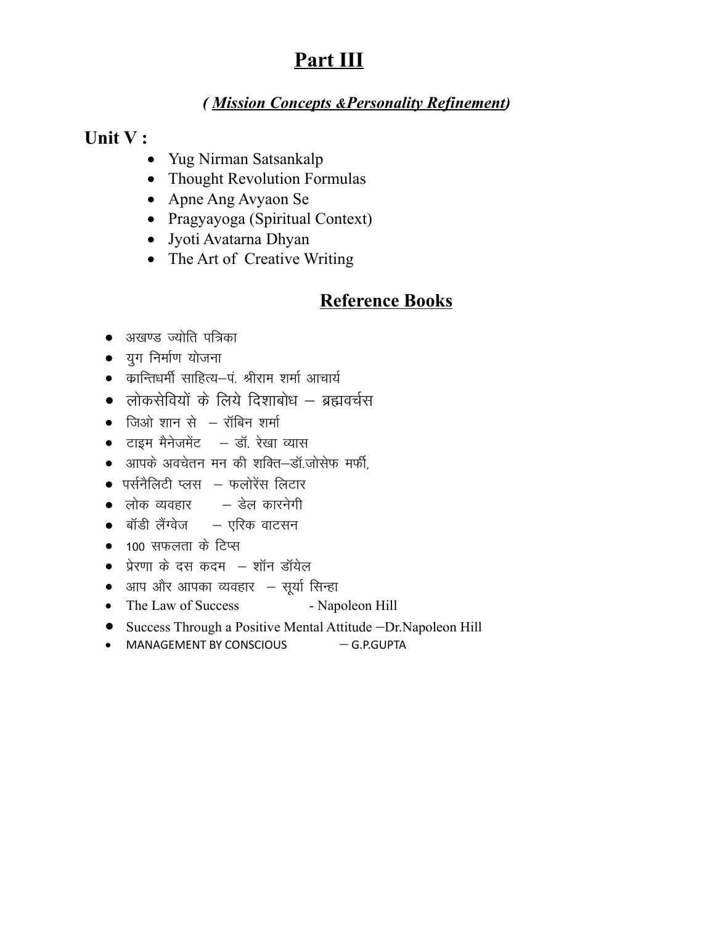# Part III

### (Mission Concepts & Personality Refinement)

### Unit V:

- Yug Nirman Satsankalp
- Thought Revolution Formulas
- Apne Ang Avyaon Se
- Pragyayoga (Spiritual Context)
- Jyoti Avatarna Dhyan
- The Art of Creative Writing

## **Reference Books**

- अखण्ड ज्योति पत्रिका
- युग निर्माण योजना
- कान्तिधर्मी साहित्य–पं. श्रीराम शर्मा आचार्य
- लोकसेवियों के लिये दिशाबोध ब्रह्मवर्चस
- $\bullet$  जिओ शान से  $-$  रॉबिन शर्मा
- टाइम मैनेजमेंट डॉ. रेखा व्यास
- आपके अवचेतन मन की शक्ति-डॉ.जोसेफ मर्फी.
- $\bullet$  पर्सनैलिटी प्लस $-$  फलोरेंस लिटार
- लोक व्यवहार डेल कारनेगी
- बॉडी लैंग्वेज एरिक वाटसन
- 100 सफलता के टिप्स
- प्रेरणा के दस कदम शॉन डॉयेल
- आप और आपका व्यवहार सूर्या सिन्हा
- The Law of Success - Napoleon Hill
- Success Through a Positive Mental Attitude -Dr. Napoleon Hill
- $\bullet$  MANAGEMENT BY CONSCIOUS  $-$  G.P.GUPTA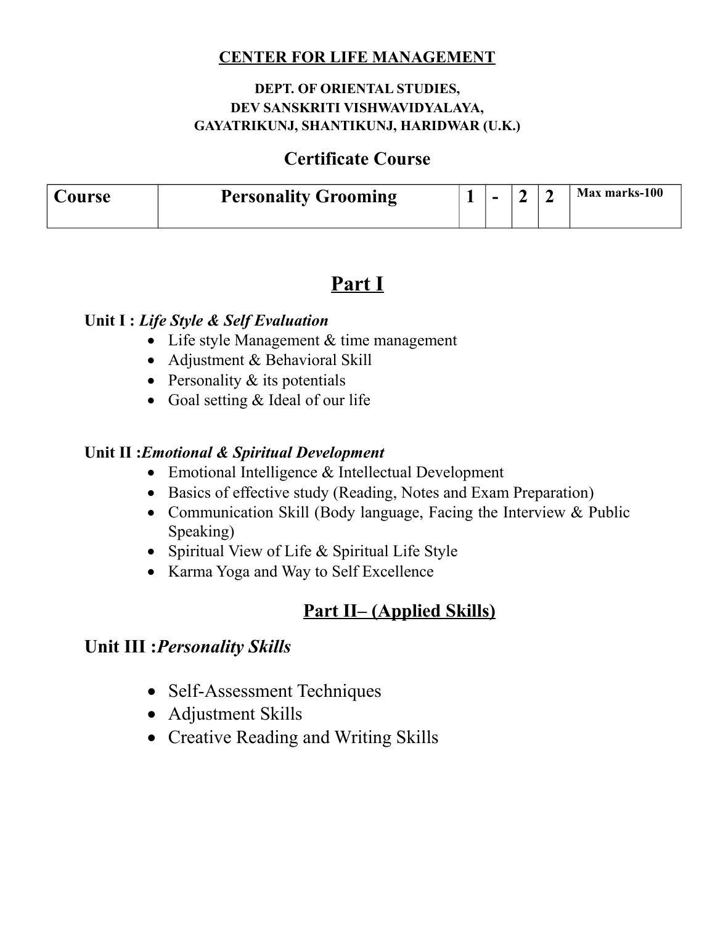#### **DEPT. OF ORIENTAL STUDIES, DEV SANSKRITI VISHWAVIDYALAYA, GAYATRIKUNJ, SHANTIKUNJ, HARIDWAR (U.K.)**

### **Certificate Course**

| Jourse | <b>Personality Grooming</b> | - |  | Max marks-100 |
|--------|-----------------------------|---|--|---------------|
|        |                             |   |  |               |

## **Part I**

#### **Unit I :** *Life Style & Self Evaluation*

- Life style Management & time management
- Adjustment & Behavioral Skill
- Personality  $&$  its potentials
- Goal setting & Ideal of our life

#### **Unit II :***Emotional & Spiritual Development*

- Emotional Intelligence & Intellectual Development
- Basics of effective study (Reading, Notes and Exam Preparation)
- Communication Skill (Body language, Facing the Interview & Public Speaking)
- Spiritual View of Life & Spiritual Life Style
- Karma Yoga and Way to Self Excellence

## **Part II– (Applied Skills)**

### **Unit III :***Personality Skills*

- Self-Assessment Techniques
- Adjustment Skills
- Creative Reading and Writing Skills